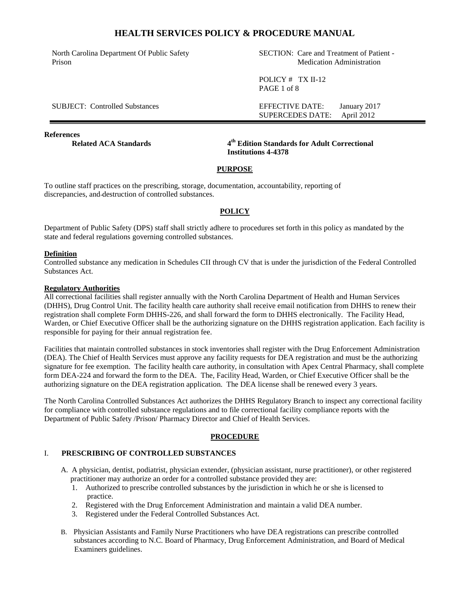North Carolina Department Of Public Safety Prison

SECTION: Care and Treatment of Patient - Medication Administration

SUPERCEDES DATE: April 2012

POLICY # TX II-12 PAGE 1 of 8

SUBJECT: Controlled Substances EFFECTIVE DATE: January 2017

**References** 

**Related ACA Standards** 

**th Edition Standards for Adult Correctional Institutions 4-4378**

### **PURPOSE**

To outline staff practices on the prescribing, storage, documentation, accountability, reporting of discrepancies, and destruction of controlled substances.

### **POLICY**

Department of Public Safety (DPS) staff shall strictly adhere to procedures set forth in this policy as mandated by the state and federal regulations governing controlled substances.

### **Definition**

Controlled substance any medication in Schedules CII through CV that is under the jurisdiction of the Federal Controlled Substances Act.

#### **Regulatory Authorities**

All correctional facilities shall register annually with the North Carolina Department of Health and Human Services (DHHS), Drug Control Unit. The facility health care authority shall receive email notification from DHHS to renew their registration shall complete Form DHHS-226, and shall forward the form to DHHS electronically. The Facility Head, Warden, or Chief Executive Officer shall be the authorizing signature on the DHHS registration application. Each facility is responsible for paying for their annual registration fee.

Facilities that maintain controlled substances in stock inventories shall register with the Drug Enforcement Administration (DEA). The Chief of Health Services must approve any facility requests for DEA registration and must be the authorizing signature for fee exemption. The facility health care authority, in consultation with Apex Central Pharmacy, shall complete form DEA-224 and forward the form to the DEA. The, Facility Head, Warden, or Chief Executive Officer shall be the authorizing signature on the DEA registration application. The DEA license shall be renewed every 3 years.

The North Carolina Controlled Substances Act authorizes the DHHS Regulatory Branch to inspect any correctional facility for compliance with controlled substance regulations and to file correctional facility compliance reports with the Department of Public Safety /Prison/ Pharmacy Director and Chief of Health Services.

### **PROCEDURE**

#### I. **PRESCRIBING OF CONTROLLED SUBSTANCES**

- A. A physician, dentist, podiatrist, physician extender, (physician assistant, nurse practitioner), or other registered practitioner may authorize an order for a controlled substance provided they are:
	- 1. Authorized to prescribe controlled substances by the jurisdiction in which he or she is licensed to practice.
	- 2. Registered with the Drug Enforcement Administration and maintain a valid DEA number.
	- 3. Registered under the Federal Controlled Substances Act.
- B. Physician Assistants and Family Nurse Practitioners who have DEA registrations can prescribe controlled substances according to N.C. Board of Pharmacy, Drug Enforcement Administration, and Board of Medical Examiners guidelines.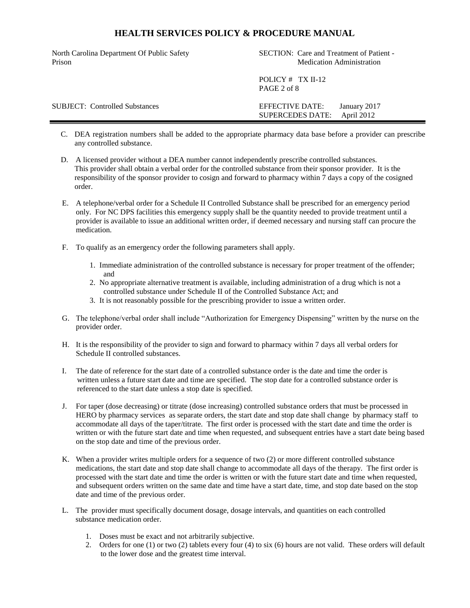| North Carolina Department Of Public Safety<br>Prison | SECTION: Care and Treatment of Patient -<br><b>Medication Administration</b> |
|------------------------------------------------------|------------------------------------------------------------------------------|
|                                                      | POLICY $#$ TX II-12<br>PAGE 2 of 8                                           |
| <b>SUBJECT:</b> Controlled Substances                | January 2017<br>EFFECTIVE DATE:<br>April 2012<br><b>SUPERCEDES DATE:</b>     |

- C. DEA registration numbers shall be added to the appropriate pharmacy data base before a provider can prescribe any controlled substance.
- D. A licensed provider without a DEA number cannot independently prescribe controlled substances. This provider shall obtain a verbal order for the controlled substance from their sponsor provider. It is the responsibility of the sponsor provider to cosign and forward to pharmacy within 7 days a copy of the cosigned order.
- E. A telephone/verbal order for a Schedule II Controlled Substance shall be prescribed for an emergency period only. For NC DPS facilities this emergency supply shall be the quantity needed to provide treatment until a provider is available to issue an additional written order, if deemed necessary and nursing staff can procure the medication.
- F. To qualify as an emergency order the following parameters shall apply.
	- 1. Immediate administration of the controlled substance is necessary for proper treatment of the offender; and
	- 2. No appropriate alternative treatment is available, including administration of a drug which is not a controlled substance under Schedule II of the Controlled Substance Act; and
	- 3. It is not reasonably possible for the prescribing provider to issue a written order.
- G. The telephone/verbal order shall include "Authorization for Emergency Dispensing" written by the nurse on the provider order.
- H. It is the responsibility of the provider to sign and forward to pharmacy within 7 days all verbal orders for Schedule II controlled substances.
- I. The date of reference for the start date of a controlled substance order is the date and time the order is written unless a future start date and time are specified. The stop date for a controlled substance order is referenced to the start date unless a stop date is specified.
- J. For taper (dose decreasing) or titrate (dose increasing) controlled substance orders that must be processed in HERO by pharmacy services as separate orders, the start date and stop date shall change by pharmacy staff to accommodate all days of the taper/titrate. The first order is processed with the start date and time the order is written or with the future start date and time when requested, and subsequent entries have a start date being based on the stop date and time of the previous order.
- K. When a provider writes multiple orders for a sequence of two (2) or more different controlled substance medications, the start date and stop date shall change to accommodate all days of the therapy. The first order is processed with the start date and time the order is written or with the future start date and time when requested, and subsequent orders written on the same date and time have a start date, time, and stop date based on the stop date and time of the previous order.
- L. The provider must specifically document dosage, dosage intervals, and quantities on each controlled substance medication order.
	- 1. Doses must be exact and not arbitrarily subjective.
	- 2. Orders for one (1) or two (2) tablets every four (4) to six (6) hours are not valid. These orders will default to the lower dose and the greatest time interval.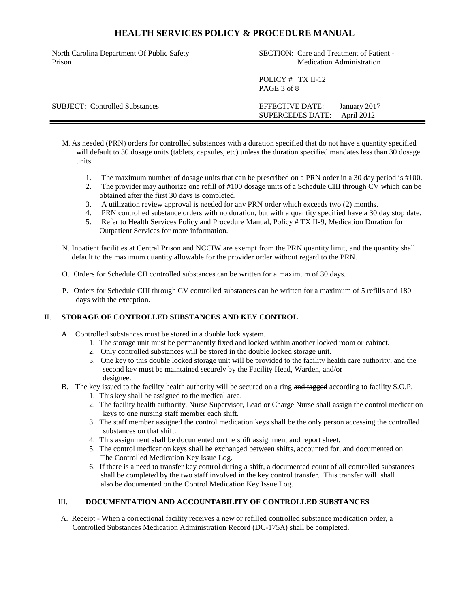North Carolina Department Of Public Safety Prison

SECTION: Care and Treatment of Patient - Medication Administration

POLICY # TX II-12 PAGE 3 of 8

SUBJECT: Controlled Substances EFFECTIVE DATE: January 2017 SUPERCEDES DATE: April 2012

- M.As needed (PRN) orders for controlled substances with a duration specified that do not have a quantity specified will default to 30 dosage units (tablets, capsules, etc) unless the duration specified mandates less than 30 dosage units.
	- 1. The maximum number of dosage units that can be prescribed on a PRN order in a 30 day period is #100.
	- 2. The provider may authorize one refill of #100 dosage units of a Schedule CIII through CV which can be obtained after the first 30 days is completed.
	- 3. A utilization review approval is needed for any PRN order which exceeds two (2) months.
	- 4. PRN controlled substance orders with no duration, but with a quantity specified have a 30 day stop date.
	- 5. Refer to Health Services Policy and Procedure Manual, Policy # TX II-9, Medication Duration for Outpatient Services for more information.
- N. Inpatient facilities at Central Prison and NCCIW are exempt from the PRN quantity limit, and the quantity shall default to the maximum quantity allowable for the provider order without regard to the PRN.
- O. Orders for Schedule CII controlled substances can be written for a maximum of 30 days.
- P. Orders for Schedule CIII through CV controlled substances can be written for a maximum of 5 refills and 180 days with the exception.

### II. **STORAGE OF CONTROLLED SUBSTANCES AND KEY CONTROL**

- A. Controlled substances must be stored in a double lock system.
	- 1. The storage unit must be permanently fixed and locked within another locked room or cabinet.
	- 2. Only controlled substances will be stored in the double locked storage unit.
	- 3. One key to this double locked storage unit will be provided to the facility health care authority, and the second key must be maintained securely by the Facility Head, Warden, and/or designee.
- B. The key issued to the facility health authority will be secured on a ring and tagged according to facility S.O.P.
	- 1. This key shall be assigned to the medical area.
	- 2. The facility health authority, Nurse Supervisor, Lead or Charge Nurse shall assign the control medication keys to one nursing staff member each shift.
	- 3. The staff member assigned the control medication keys shall be the only person accessing the controlled substances on that shift.
	- 4. This assignment shall be documented on the shift assignment and report sheet.
	- 5. The control medication keys shall be exchanged between shifts, accounted for, and documented on The Controlled Medication Key Issue Log.
	- 6. If there is a need to transfer key control during a shift, a documented count of all controlled substances shall be completed by the two staff involved in the key control transfer. This transfer will shall also be documented on the Control Medication Key Issue Log.

### III. **DOCUMENTATION AND ACCOUNTABILITY OF CONTROLLED SUBSTANCES**

A. Receipt - When a correctional facility receives a new or refilled controlled substance medication order, a Controlled Substances Medication Administration Record (DC-175A) shall be completed.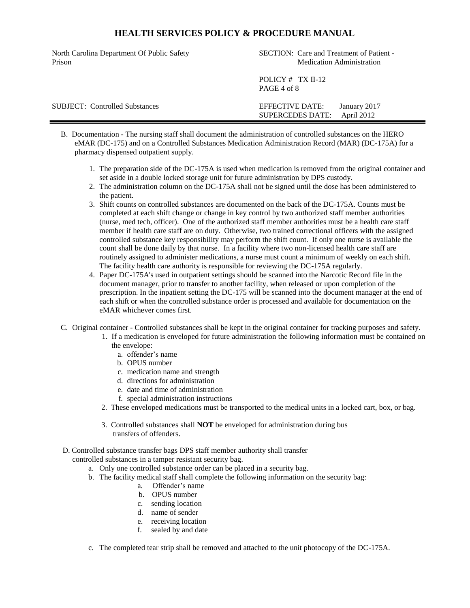| North Carolina Department Of Public Safety<br>Prison | SECTION: Care and Treatment of Patient -<br><b>Medication Administration</b> |
|------------------------------------------------------|------------------------------------------------------------------------------|
|                                                      | POLICY $#$ TX II-12<br>PAGE 4 of 8                                           |
| <b>SUBJECT:</b> Controlled Substances                | EFFECTIVE DATE:<br>January 2017<br>April 2012<br><b>SUPERCEDES DATE:</b>     |

- B. Documentation The nursing staff shall document the administration of controlled substances on the HERO eMAR (DC-175) and on a Controlled Substances Medication Administration Record (MAR) (DC-175A) for a pharmacy dispensed outpatient supply.
	- 1. The preparation side of the DC-175A is used when medication is removed from the original container and set aside in a double locked storage unit for future administration by DPS custody.
	- 2. The administration column on the DC-175A shall not be signed until the dose has been administered to the patient.
	- 3. Shift counts on controlled substances are documented on the back of the DC-175A. Counts must be completed at each shift change or change in key control by two authorized staff member authorities (nurse, med tech, officer). One of the authorized staff member authorities must be a health care staff member if health care staff are on duty. Otherwise, two trained correctional officers with the assigned controlled substance key responsibility may perform the shift count. If only one nurse is available the count shall be done daily by that nurse. In a facility where two non-licensed health care staff are routinely assigned to administer medications, a nurse must count a minimum of weekly on each shift. The facility health care authority is responsible for reviewing the DC-175A regularly.
	- 4. Paper DC-175A's used in outpatient settings should be scanned into the Narcotic Record file in the document manager, prior to transfer to another facility, when released or upon completion of the prescription. In the inpatient setting the DC-175 will be scanned into the document manager at the end of each shift or when the controlled substance order is processed and available for documentation on the eMAR whichever comes first.
- C. Original container Controlled substances shall be kept in the original container for tracking purposes and safety.
	- 1. If a medication is enveloped for future administration the following information must be contained on the envelope:
		- a. offender's name
		- b. OPUS number
		- c. medication name and strength
		- d. directions for administration
		- e. date and time of administration
		- f. special administration instructions
		- 2. These enveloped medications must be transported to the medical units in a locked cart, box, or bag.
		- 3. Controlled substances shall **NOT** be enveloped for administration during bus transfers of offenders.

#### D. Controlled substance transfer bags DPS staff member authority shall transfer controlled substances in a tamper resistant security bag.

- a. Only one controlled substance order can be placed in a security bag.
- b. The facility medical staff shall complete the following information on the security bag:
	- a. Offender's name
	- b. OPUS number
	- c. sending location
	- d. name of sender
	- e. receiving location
	- f. sealed by and date
- c. The completed tear strip shall be removed and attached to the unit photocopy of the DC-175A.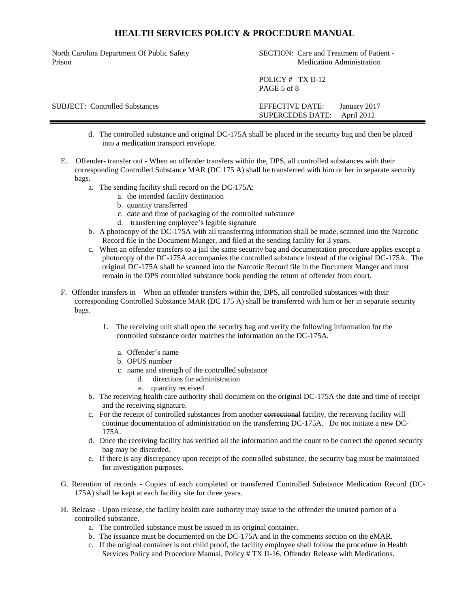North Carolina Department Of Public Safety Prison

SECTION: Care and Treatment of Patient - Medication Administration

POLICY # TX II-12 PAGE 5 of 8

SUBJECT: Controlled Substances EFFECTIVE DATE: January 2017 SUPERCEDES DATE: April 2012

- d. The controlled substance and original DC-175A shall be placed in the security bag and then be placed into a medication transport envelope.
- E. Offender- transfer out When an offender transfers within the, DPS, all controlled substances with their corresponding Controlled Substance MAR (DC 175 A) shall be transferred with him or her in separate security bags.
	- a. The sending facility shall record on the DC-175A:
		- a. the intended facility destination
		- b. quantity transferred
		- c. date and time of packaging of the controlled substance
		- d. transferring employee's legible signature
	- b. A photocopy of the DC-175A with all transferring information shall be made, scanned into the Narcotic Record file in the Document Manger, and filed at the sending facility for 3 years.
	- c. When an offender transfers to a jail the same security bag and documentation procedure applies except a photocopy of the DC-175A accompanies the controlled substance instead of the original DC-175A. The original DC-175A shall be scanned into the Narcotic Record file in the Document Manger and must remain in the DPS controlled substance book pending the return of offender from court.
- F. Offender transfers in When an offender transfers within the, DPS, all controlled substances with their corresponding Controlled Substance MAR (DC 175 A) shall be transferred with him or her in separate security bags.
	- 1. The receiving unit shall open the security bag and verify the following information for the controlled substance order matches the information on the DC-175A.
		- a. Offender's name
		- b. OPUS number
		- c. name and strength of the controlled substance
			- d. directions for administration
			- e. quantity received
	- b. The receiving health care authority shall document on the original DC-175A the date and time of receipt and the receiving signature.
	- c. For the receipt of controlled substances from another correctional facility, the receiving facility will continue documentation of administration on the transferring DC-175A. Do not initiate a new DC-175A.
	- d. Once the receiving facility has verified all the information and the count to be correct the opened security bag may be discarded.
	- e. If there is any discrepancy upon receipt of the controlled substance, the security bag must be maintained for investigation purposes.
- G. Retention of records Copies of each completed or transferred Controlled Substance Medication Record (DC-175A) shall be kept at each facility site for three years.
- H. Release Upon release, the facility health care authority may issue to the offender the unused portion of a controlled substance.
	- a. The controlled substance must be issued in its original container.
	- b. The issuance must be documented on the DC-175A and in the comments section on the eMAR.
	- c. If the original container is not child proof, the facility employee shall follow the procedure in Health Services Policy and Procedure Manual, Policy # TX II-16, Offender Release with Medications.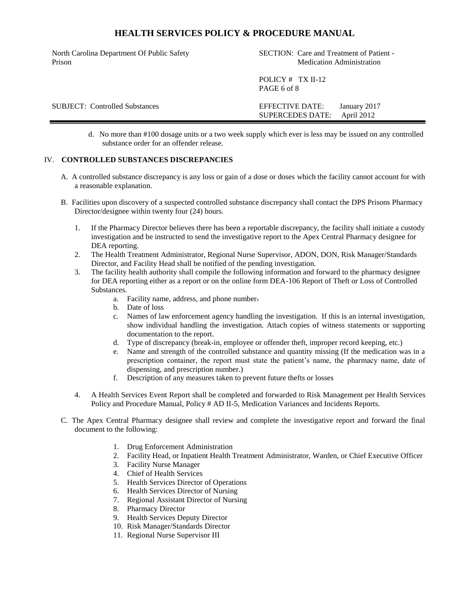North Carolina Department Of Public Safety Prison

SECTION: Care and Treatment of Patient - Medication Administration

POLICY # TX II-12 PAGE 6 of 8

SUBJECT: Controlled Substances EFFECTIVE DATE: January 2017 SUPERCEDES DATE: April 2012

> d. No more than #100 dosage units or a two week supply which ever is less may be issued on any controlled substance order for an offender release.

### IV. **CONTROLLED SUBSTANCES DISCREPANCIES**

- A. A controlled substance discrepancy is any loss or gain of a dose or doses which the facility cannot account for with a reasonable explanation.
- B. Facilities upon discovery of a suspected controlled substance discrepancy shall contact the DPS Prisons Pharmacy Director/designee within twenty four (24) hours.
	- 1. If the Pharmacy Director believes there has been a reportable discrepancy, the facility shall initiate a custody investigation and be instructed to send the investigative report to the Apex Central Pharmacy designee for DEA reporting.
	- 2. The Health Treatment Administrator, Regional Nurse Supervisor, ADON, DON, Risk Manager/Standards Director, and Facility Head shall be notified of the pending investigation.
	- 3. The facility health authority shall compile the following information and forward to the pharmacy designee for DEA reporting either as a report or on the online form DEA-106 Report of Theft or Loss of Controlled Substances.
		- a. Facility name, address, and phone number.
		- b. Date of loss
		- c. Names of law enforcement agency handling the investigation. If this is an internal investigation, show individual handling the investigation. Attach copies of witness statements or supporting documentation to the report.
		- d. Type of discrepancy (break-in, employee or offender theft, improper record keeping, etc.)
		- e. Name and strength of the controlled substance and quantity missing (If the medication was in a prescription container, the report must state the patient's name, the pharmacy name, date of dispensing, and prescription number.)
		- f. Description of any measures taken to prevent future thefts or losses
	- 4. A Health Services Event Report shall be completed and forwarded to Risk Management per Health Services Policy and Procedure Manual, Policy # AD II-5, Medication Variances and Incidents Reports.
- C. The Apex Central Pharmacy designee shall review and complete the investigative report and forward the final document to the following:
	- 1. Drug Enforcement Administration
	- 2. Facility Head, or Inpatient Health Treatment Administrator, Warden, or Chief Executive Officer
	- 3. Facility Nurse Manager
	- 4. Chief of Health Services
	- 5. Health Services Director of Operations
	- 6. Health Services Director of Nursing
	- 7. Regional Assistant Director of Nursing
	- 8. Pharmacy Director
	- 9. Health Services Deputy Director
	- 10. Risk Manager/Standards Director
	- 11. Regional Nurse Supervisor III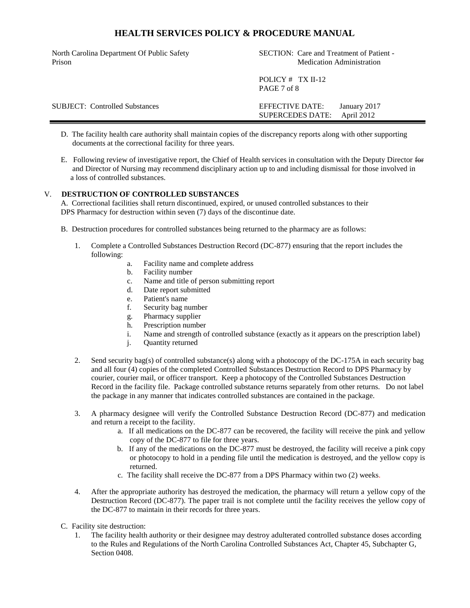| North Carolina Department Of Public Safety<br>Prison | SECTION: Care and Treatment of Patient -<br><b>Medication Administration</b>    |
|------------------------------------------------------|---------------------------------------------------------------------------------|
|                                                      | POLICY $#$ TX II-12<br>PAGE 7 of 8                                              |
| <b>SUBJECT:</b> Controlled Substances                | <b>EFFECTIVE DATE:</b><br>January 2017<br>April 2012<br><b>SUPERCEDES DATE:</b> |

- D. The facility health care authority shall maintain copies of the discrepancy reports along with other supporting documents at the correctional facility for three years.
- E. Following review of investigative report, the Chief of Health services in consultation with the Deputy Director for and Director of Nursing may recommend disciplinary action up to and including dismissal for those involved in a loss of controlled substances.

#### V. **DESTRUCTION OF CONTROLLED SUBSTANCES**

A. Correctional facilities shall return discontinued, expired, or unused controlled substances to their DPS Pharmacy for destruction within seven (7) days of the discontinue date.

- B. Destruction procedures for controlled substances being returned to the pharmacy are as follows:
	- 1. Complete a Controlled Substances Destruction Record (DC-877) ensuring that the report includes the following:
		- a. Facility name and complete address
		- b. Facility number
		- c. Name and title of person submitting report
		- d. Date report submitted
		- e. Patient's name
		- f. Security bag number
		- g. Pharmacy supplier
		- h. Prescription number
		- i. Name and strength of controlled substance (exactly as it appears on the prescription label)
		- j. Quantity returned
	- 2. Send security bag(s) of controlled substance(s) along with a photocopy of the DC-175A in each security bag and all four (4) copies of the completed Controlled Substances Destruction Record to DPS Pharmacy by courier, courier mail, or officer transport. Keep a photocopy of the Controlled Substances Destruction Record in the facility file. Package controlled substance returns separately from other returns. Do not label the package in any manner that indicates controlled substances are contained in the package.
	- 3. A pharmacy designee will verify the Controlled Substance Destruction Record (DC-877) and medication and return a receipt to the facility.
		- a. If all medications on the DC-877 can be recovered, the facility will receive the pink and yellow copy of the DC-877 to file for three years.
		- b. If any of the medications on the DC-877 must be destroyed, the facility will receive a pink copy or photocopy to hold in a pending file until the medication is destroyed, and the yellow copy is returned.
		- c. The facility shall receive the DC-877 from a DPS Pharmacy within two (2) weeks.
	- 4. After the appropriate authority has destroyed the medication, the pharmacy will return a yellow copy of the Destruction Record (DC-877). The paper trail is not complete until the facility receives the yellow copy of the DC-877 to maintain in their records for three years.

C. Facility site destruction:

1. The facility health authority or their designee may destroy adulterated controlled substance doses according to the Rules and Regulations of the North Carolina Controlled Substances Act, Chapter 45, Subchapter G, Section 0408.